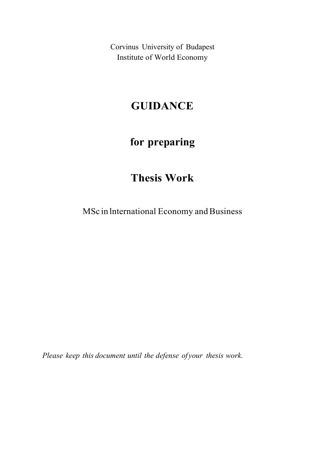Corvinus University of Budapest Institute of World Economy

## GUIDANCE

# for preparing

# Thesis Work

MSc in lnternational Economy and Business

Please keep this document until the defense of your thesis work.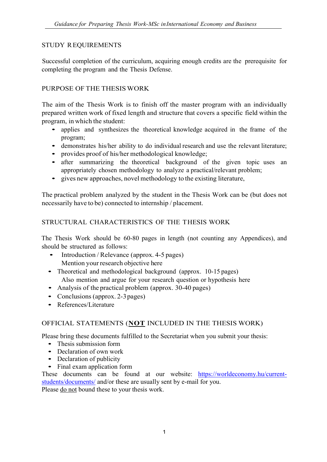## STUDY REQUIREMENTS

Successful completion of the curriculum, acquiring enough credits are the prerequisite for completing the program and the Thesis Defense.

## PURPOSE OF THE THESIS WORK

The aim of the Thesis Work is to finish off the master program with an individually prepared written work of fixed length and structure that covers a specific field within the

- program, in which the student: applies and synthesizes the theoretical knowledge acquired in the frame of the
	- demonstrates his/her ability to do individual research and use the relevant literature;<br>• provides proof of his/her methodological knowledge;<br>• after summarizing the theoretical background of the given topic uses an
	-
	- appropriately chosen methodology to analyze a practical/relevant problem; gives new approaches, novel methodology to the existing literature,
	-

The practical problem analyzed by the student in the Thesis Work can be (but does not necessarily have to be) connected to internship / placement.

## STRUCTURAL CHARACTERISTICS OF THE THESIS WORK

The Thesis Work should be 60-80 pages in length (not counting any Appendices), and should be structured as follows:<br>
• Introduction / Relevance (approx. 4-5 pages)

- Mention your research objective here
- Theoretical and methodological background (approx. 10-15 pages) Also mention and argue for your research question or hypothesis here<br>
• Analysis of the practical problem (approx. 30-40 pages)<br>
• Conclusions (approx. 2-3 pages)<br>
• References/Literature
- 
- 
- 

## OFFICIAL STATEMENTS (NOT INCLUDED IN THE THESIS WORK)

Please bring these documents fulfilled to the Secretariat when you submit your thesis:<br>
• Thesis submission form<br>
• Declaration of own work<br>
• Declaration of publicity<br>
• Final exam application form

- 
- 
- 
- 

These documents can be found at our website: https://worldeconomy.hu/currentstudents/documents/ and/or these are usually sent by e-mail for you. Please do not bound these to your thesis work.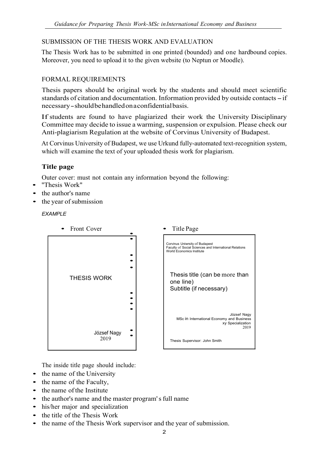## SUBMISSION OF THE THESIS WORK AND EVALUATION

The Thesis Work has to be submitted in one printed (bounded) and one hardbound copies. Moreover, you need to upload it to the given website (to Neptun or Moodle).

## FORMAL REQUIREMENTS

Thesis papers should be original work by the students and should meet scientific standards of citation and documentation. Information provided by outside contacts - if necessary - should be handled on a confidential basis.

If students are found to have plagiarized their work the University Disciplinary Committee may decide to issue a warming, suspension or expulsion. Please check our Anti-plagiarism Regulation at the website of Corvinus University of Budapest.

At Corvinus University of Budapest, we use Urkund fully-automated text-recognition system, which will examine the text of your uploaded thesis work for plagiarism.

## Title page

Outer cover: must not contain any information beyond the following: • ''Thesis Work"

- 
- the author's name
- the year of submission

**EXAMPLE** 



The inside title page should include:<br>
• the name of the University

- 
- 
- the name of the Faculty,<br>• the name of the Institute
- the author's name and the master program' s full name
- his/her major and specialization<br>• the title of the Thesis Work
- 
- the name of the Thesis Work supervisor and the year of submission.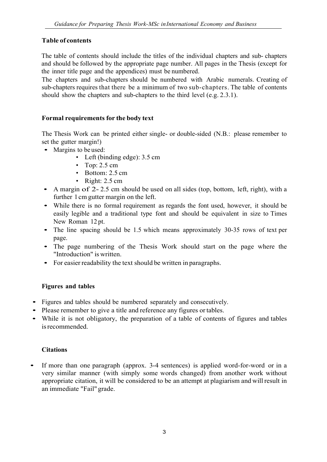## Table of contents

The table of contents should include the titles of the individual chapters and sub- chapters and should be followed by the appropriate page number. All pages in the Thesis (except for the inner title page and the appendices) must be numbered.

The chapters and sub-chapters should be numbered with Arabic numerals. Creating of sub-chapters requires that there be a minimum of two sub-chapters. The table of contents should show the chapters and sub-chapters to the third level (e.g. 2.3.1).

### Formal requirements for the body text

The Thesis Work can be printed either single- or double-sided (N.B.: please remember to set the gutter margin!)<br>• Margins to be used:

- - Left (binding edge): 3.5 cm
	- Top:  $2.5 \text{ cm}$
	- Bottom: 2.5 cm
	- Right: 2.5 cm
- A margin of 2-2.5 cm should be used on all sides (top, bottom, left, right), with a further 1 cm gutter margin on the left.
- While there is no formal requirement as regards the font used, however, it should be easily legible and a traditional type font and should be equivalent in size to Times
- New Roman 12 pt.<br>• The line spacing should be 1.5 which means approximately 30-35 rows of text per
- page. The page numbering of the Thesis Work should start on the page where the
- "Introduction" is written. For easier readability the text should be written in paragraphs.

#### Figures and tables

- 
- 
- Figures and tables should be numbered separately and consecutively.<br>• Please remember to give a title and reference any figures or tables.<br>• While it is not obligatory, the preparation of a table of contents of figures a is recommended.

#### **Citations**

• If more than one paragraph (approx. 3-4 sentences) is applied word-for-word or in a very similar manner (with simply some words changed) from another work without appropriate citation, it will be considered to be an attempt at plagiarism and will result in an immediate "Fail" grade.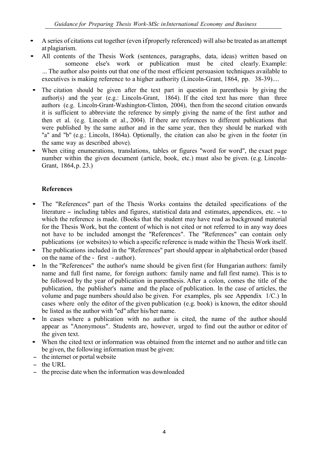- A series of citations cut together (even if properly referenced) will also be treated as an attempt
- at plagiarism.<br>All contents of the Thesis Work (sentences, paragraphs, data, ideas) written based on someone else's work or publication must be cited clearly. Example: ... The author also points out that one of the most efficient persuasion techniques available to executives is making reference to a higher authority (Lincoln-Grant, 1864, pp. 38-39)....
- The citation should be given after the text part in question in parenthesis by giving the author(s) and the year (e.g.: Lincoln-Grant, 1864). If the cited text has more than three authors (e.g. Lincoln-Grant-Washington-Clinton, 2004), then from the second citation onwards it is sufficient to abbreviate the reference by simply giving the name of the first author and then et al. (e.g. Lincoln et al., 2004). If there are references to different publications that were published by the same author and in the same year, then they should be marked with "a" and "b" (e.g.: Lincoln, 1864a). Optionally, the citation can also be given in the footer (in
- the same way as described above).<br>• When citing enumerations, translations, tables or figures "word for word", the exact page number within the given document (article, book, etc.) must also be given. (e.g. Lincoln-Grant, 1864, p. 23.)

### References

- The "References" part of the Thesis Works contains the detailed specifications of the literature – including tables and figures, statistical data and estimates, appendices, etc. – to which the reference is made. (Books that the student may have read as background material for the Thesis Work, but the content of which is not cited or not referred to in any way does not have to be included amongst the ''References". The ''References" can contain only
- publications (or websites) to which a specific reference is made within the Thesis Work itself.<br>
 The publications included in the "References" part should appear in alphabetical order (based on the name of the first -
- In the "References" the author's name should be given first (for Hungarian authors: family name and full first name, for foreign authors: family name and full first name). This is to be followed by the year of publication in parenthesis. After a colon, comes the title of the publication, the publisher's name and the place of publication. ln the case of articles, the volume and page numbers should also be given. For examples, pls see Appendix 1/C.) ln cases where only the editor of the given publication (e.g. book) is known, the editor should
- be listed as the author with "ed" after his/her name.<br>In cases where a publication with no author is cited, the name of the author should appear as "Anonymous". Students are, however, urged to find out the author or editor of the given text.<br>• When the cited text or information was obtained from the internet and no author and title can
- be given, the following information must be given:<br>- the internet or portal website<br>- the URL
- 
- 
- the precise date when the information was downloaded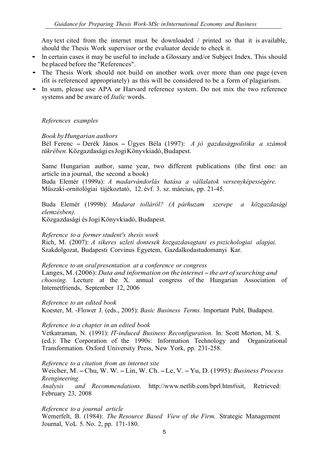Any text cited from the internet must be downloaded / printed so that it is available,

- should the Thesis Work supervisor or the evaluator decide to check it.<br>
 In certain cases it may be useful to include a Glossary and/or Subject Index. This should<br>
be placed before the "References".
- The Thesis Work should not build on another work over more than one page (even ifit is referenced appropriately) as this will be considered to be a form of plagiarism. • In sum, please use APA or Harvard reference system. Do not mix the two reference
- systems and be aware of *Italic* words.

#### References examples

Book by Hungarian authors

Bél Ferenc – Derék János – Ügyes Béla (1997): A jó gazdaságpolitika a számok tükrében. Közgazdasági es Jogi Könyvkiadó, Budapest.

Same Hungarian author, same year, two different publications (the first one: an article in a journal, the second a book)

Buda Elemér (1999a): A madarvándorlás hatása a vállalatok versenyképességére. Műszaki-ornitológiai tájékoztató, 12. évf. 3. sz. március, pp. 21-45.

Buda Elemér (1999b): Madarat tolláról? (A párhuzam szerepe a közgazdasági elemzésben).

Közgazdasági és Jogi Könyvkiadó, Budapest.

#### Reference to a former student's thesis work

Rich, M. (2007): A sikeres uzleti dontesek kozgazdasagtani es pszichologiai alapjai. Szakdolgozat, Budapesti Corvinus Egyetem, Gazdalkodastudomanyi Kar.

#### Reference to an oral presentation at a conference or congress

Langes, M. (2006): Data and information on the internet  $-$  the art of searching and choosing. Lecture at the X. annual congress of the Hungarian Association of Intemetfriends, September 12, 2006

Reference to an edited book Koester, M. -Flower J. (eds., 2005): Basic Business Terms. lmportant Publ, Budapest.

#### Reference to a chapter in an edited book

Vetkatraman, N. (1991): IT-induced Business Reconfiguration. ln: Scott Morton, M. S. (ed.): The Corporation of the 1990s: Information Technology and Organizational Transformation. Oxford University Press, New York, pp. 231-258.

Reference to a citation from an internet site

Weicher, M. - Chu, W. W. - Lin, W. Ch. - Le, V. - Yu, D. (1995): Business Process Reengineering.

Analysis and Recommendations. http://www.netlib.com/bprl.htm#isit, Retrieved: February 23, 2008

Reference to a journal article

Wemerfelt, B. (1984): The Resource Based View of the Firm. Strategic Management Journal, VoL 5. No. 2, pp. 171-180.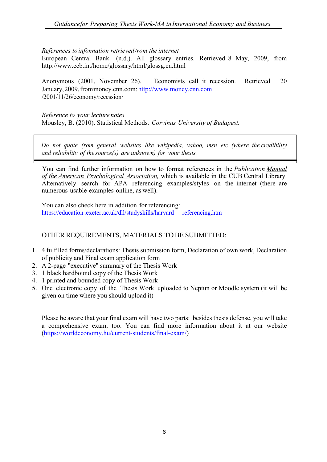#### References to infonnation retrieved /rom the internet

European Central Bank. (n.d.). All glossary entries. Retrieved 8 May, 2009, from http://www.ecb.int/home/glossary/html/glossg.en.html

 Anonymous (2001, November 26). Economists call it recession. Retrieved 20 January, 2009, from money.cnn.com: http://www.money.cnn.com /2001/11/26/economy/recession/

Reference to your lecture notes Mousley, B. (2010). Statistical Methods. Corvinus University of Budapest.

Do not quote (rom general websites like wikipedia, vahoo, msn etc (where the credibility and reliabilitv of the source(s) are unknown) for vour thesis.

You can find further information on how to format references in the Publication Manual of the American Psvchological Association, which is available in the CUB Central Library. Altematively search for APA referencing examples/styles on the internet (there are numerous usable examples online, as well).

You can also check here in addition for referencing: https://education .exeter.ac.uk/dll/studyskills/harvard referencing.htm

#### OTHER REQUIREMENTS, MATERIALS TO BE SUBMITTED:

- 1. 4 fulfilled forms/declarations: Thesis submission form, Declaration of own work, Declaration of publicity and Final exam application form
- 2. A 2-page "executive" summary of the Thesis Work
- 3. 1 black hardbound copy of the Thesis Work
- 4. 1 printed and bounded copy of Thesis Work
- 5. One electronic copy of the Thesis Work uploaded to Neptun or Moodle system (it will be given on time where you should upload it)

Please be aware that your final exam will have two parts: besides thesis defense, you will take a comprehensive exam, too. You can find more information about it at our website (https://worldeconomy.hu/current-students/final-exam/)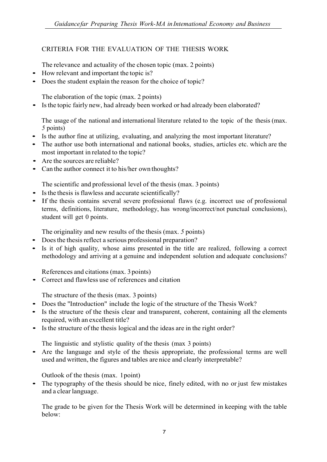## CRITERIA FOR THE EVALUATION OF THE THESIS WORK

The relevance and actuality of the chosen topic (max. 2 points)<br>• How relevant and important the topic is?

- 
- Does the student explain the reason for the choice of topic?

The elaboration of the topic (max. 2 points)<br>• Is the topic fairly new, had already been worked or had already been elaborated?

The usage of the national and international literature related to the topic of the thesis (max.

- <sup>5</sup>points) Is the author fine at utilizing, evaluating, and analyzing the most important literature? The author use both international and national books, studies, articles etc. which are the
- most important in related to the topic?
- Are the sources are reliable?
- Can the author connect it to his/her own thoughts?

The scientific and professional level of the thesis (max. 3 points)<br>
• Is the thesis is flawless and accurate scientifically?

- 
- If the thesis contains several severe professional flaws (e.g. incorrect use of professional terms, definitions, literature, methodology, has wrong/incorrect/not punctual conclusions), student will get 0 points.

The originality and new results of the thesis (max. 5 points)<br>Does the thesis reflect a serious professional preparation?

- 
- Is it of high quality, whose aims presented in the title are realized, following a correct methodology and arriving at a genuine and independent solution and adequate conclusions?

References and citations (max. 3 points)<br>
• Correct and flawless use of references and citation

- The structure of the thesis (max. 3 points)<br>
 Does the "Introduction" include the logic of the structure of the Thesis Work?
- Is the structure of the thesis clear and transparent, coherent, containing all the elements required, with an excellent title?
- Is the structure of the thesis logical and the ideas are in the right order?

The linguistic and stylistic quality of the thesis (max 3 points)<br>• Are the language and style of the thesis appropriate, the professional terms are well used and written, the figures and tables are nice and clearly interpretable?

Outlook of the thesis (max. 1point) • The typography of the thesis should be nice, finely edited, with no or just few mistakes and a clear language.

The grade to be given for the Thesis Work will be determined in keeping with the table below: